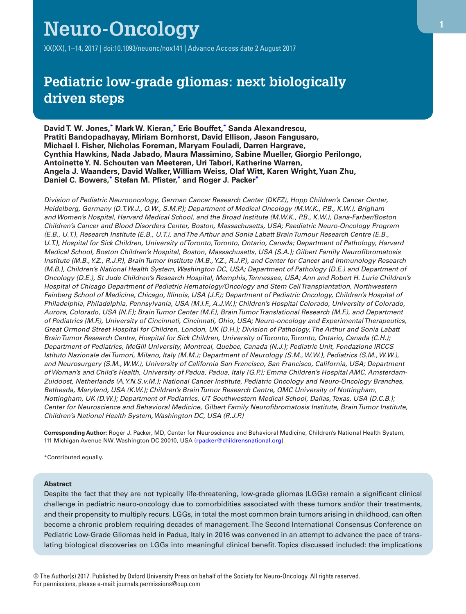# **Neuro-Oncology**

XX(XX), 1–14, 2017 | doi:10.1093/neuonc/nox141 | Advance Access date 2 August 2017

## **Pediatric low-grade gliomas: next biologically driven steps**

**David T. W. Jones, [\\*](#page-0-0) Mark W. Kieran, [\\*](#page-0-0) Eric Bouffet, [\\*](#page-0-0) Sanda Alexandrescu, Pratiti Bandopadhayay, Miriam Bornhorst, David Ellison, Jason Fangusaro, Michael I. Fisher, Nicholas Foreman, Maryam Fouladi, Darren Hargrave, Cynthia Hawkins, Nada Jabado, Maura Massimino, Sabine Mueller, Giorgio Perilongo, Antoinette Y. N. Schouten van Meeteren, Uri Tabori, Katherine Warren, Angela J. Waanders, David Walker, William Weiss, Olaf Witt, Karen Wright, Yuan Zhu, Daniel C. Bowers, [\\*](#page-0-0) Stefan M. Pfister, [\\*](#page-0-0) and Roger J. Packer[\\*](#page-0-0)**

*Division of Pediatric Neurooncology, German Cancer Research Center (DKFZ), Hopp Children's Cancer Center, Heidelberg, Germany (D.T.W.J., O.W., S.M.P.); Department of Medical Oncology (M.W.K., P.B., K.W.), Brigham and Women's Hospital, Harvard Medical School, and the Broad Institute (M.W.K., P.B., K.W.), Dana-Farber/Boston Children's Cancer and Blood Disorders Center, Boston, Massachusetts, USA; Paediatric Neuro-Oncology Program (E.B., U.T.), Research Institute (E.B., U.T.), and The Arthur and Sonia Labatt Brain Tumour Research Centre (E.B., U.T.), Hospital for Sick Children, University of Toronto, Toronto, Ontario, Canada; Department of Pathology, Harvard Medical School, Boston Children's Hospital, Boston, Massachusetts, USA (S.A.); Gilbert Family Neurofibromatosis Institute (M.B., Y.Z., R.J.P.), Brain Tumor Institute (M.B., Y.Z., R.J.P.), and Center for Cancer and Immunology Research (M.B.), Children's National Health System, Washington DC, USA; Department of Pathology (D.E.) and Department of Oncology (D.E.), St Jude Children's Research Hospital, Memphis, Tennessee, USA; Ann and Robert H. Lurie Children's Hospital of Chicago Department of Pediatric Hematology/Oncology and Stem Cell Transplantation, Northwestern Feinberg School of Medicine, Chicago, Illinois, USA (J.F.); Department of Pediatric Oncology, Children's Hospital of Philadelphia, Philadelphia, Pennsylvania, USA (M.I.F., A.J.W.); Children's Hospital Colorado, University of Colorado, Aurora, Colorado, USA (N.F.); Brain Tumor Center (M.F.), Brain Tumor Translational Research (M.F.), and Department of Pediatrics (M.F.), University of Cincinnati, Cincinnati, Ohio, USA; Neuro-oncology and Experimental Therapeutics, Great Ormond Street Hospital for Children, London, UK (D.H.); Division of Pathology, The Arthur and Sonia Labatt Brain Tumor Research Centre, Hospital for Sick Children, University of Toronto, Toronto, Ontario, Canada (C.H.); Department of Pediatrics, McGill University, Montreal, Quebec, Canada (N.J.); Pediatric Unit, Fondazione IRCCS Istituto Nazionale dei Tumori, Milano, Italy (M.M.); Department of Neurology (S.M., W.W.), Pediatrics (S.M., W.W.), and Neurosurgery (S.M., W.W.), University of California San Francisco, San Francisco, California, USA; Department of Woman's and Child's Health, University of Padua, Padua, Italy (G.P.); Emma Children's Hospital AMC, Amsterdam-Zuidoost, Netherlands (A.Y.N.S.v.M.); National Cancer Institute, Pediatric Oncology and Neuro-Oncology Branches, Bethesda, Maryland, USA (K.W.); Children's Brain Tumor Research Centre, QMC University of Nottingham, Nottingham, UK (D.W.); Department of Pediatrics, UT Southwestern Medical School, Dallas, Texas, USA (D.C.B.); Center for Neuroscience and Behavioral Medicine, Gilbert Family Neurofibromatosis Institute, Brain Tumor Institute, Children's National Health System, Washington DC, USA (R.J.P.)*

**Corresponding Author:** Roger J. Packer, MD, Center for Neuroscience and Behavioral Medicine, Children's National Health System, 111 Michigan Avenue NW, Washington DC 20010, USA [\(rpacker@childrensnational.org\)](mailto:rpacker@childrensnational.org?subject=)

<span id="page-0-0"></span>\*Contributed equally.

#### **Abstract**

Despite the fact that they are not typically life-threatening, low-grade gliomas (LGGs) remain a significant clinical challenge in pediatric neuro-oncology due to comorbidities associated with these tumors and/or their treatments, and their propensity to multiply recurs. LGGs, in total the most common brain tumors arising in childhood, can often become a chronic problem requiring decades of management. The Second International Consensus Conference on Pediatric Low-Grade Gliomas held in Padua, Italy in 2016 was convened in an attempt to advance the pace of translating biological discoveries on LGGs into meaningful clinical benefit. Topics discussed included: the implications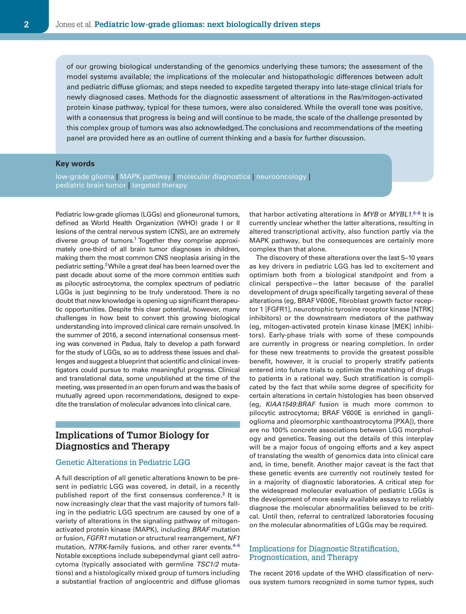of our growing biological understanding of the genomics underlying these tumors; the assessment of the model systems available; the implications of the molecular and histopathologic differences between adult and pediatric diffuse gliomas; and steps needed to expedite targeted therapy into late-stage clinical trials for newly diagnosed cases. Methods for the diagnostic assessment of alterations in the Ras/mitogen-activated protein kinase pathway, typical for these tumors, were also considered. While the overall tone was positive, with a consensus that progress is being and will continue to be made, the scale of the challenge presented by this complex group of tumors was also acknowledged. The conclusions and recommendations of the meeting panel are provided here as an outline of current thinking and a basis for further discussion.

#### **Key words**

low-grade glioma | MAPK pathway | molecular diagnostics | neurooncology | pediatric brain tumor | targeted therapy

Pediatric low-grade gliomas (LGGs) and glioneuronal tumors, defined as World Health Organization (WHO) grade I or II lesions of the central nervous system (CNS), are an extremely diverse group of tumors.<sup>1</sup> Together they comprise approximately one-third of all brain tumor diagnoses in children, making them the most common CNS neoplasia arising in the pediatric setting.<sup>2</sup> While a great deal has been learned over the past decade about some of the more common entities such as pilocytic astrocytoma, the complex spectrum of pediatric LGGs is just beginning to be truly understood. There is no doubt that new knowledge is opening up significant therapeutic opportunities. Despite this clear potential, however, many challenges in how best to convert this growing biological understanding into improved clinical care remain unsolved. In the summer of 2016, a second international consensus meeting was convened in Padua, Italy to develop a path forward for the study of LGGs, so as to address these issues and challenges and suggest a blueprint that scientific and clinical investigators could pursue to make meaningful progress. Clinical and translational data, some unpublished at the time of the meeting, was presented in an open forum and was the basis of mutually agreed upon recommendations, designed to expedite the translation of molecular advances into clinical care.

## **Implications of Tumor Biology for Diagnostics and Therapy**

#### Genetic Alterations in Pediatric LGG

A full description of all genetic alterations known to be present in pediatric LGG was covered, in detail, in a recently published report of the first consensus conference.<sup>3</sup> It is now increasingly clear that the vast majority of tumors falling in the pediatric LGG spectrum are caused by one of a variety of alterations in the signaling pathway of mitogenactivated protein kinase (MAPK), including *BRAF* mutation or fusion, *FGFR1* mutation or structural rearrangement, *NF1* mutation, *NTRK*-family fusions, and other rarer events.[4–6](#page-10-3) Notable exceptions include subependymal giant cell astrocytoma (typically associated with germline *TSC1/2* mutations) and a histologically mixed group of tumors including a substantial fraction of angiocentric and diffuse gliomas

that harbor activating alterations in *MYB* or *MYBL1*. [6–8](#page-10-4) It is currently unclear whether the latter alterations, resulting in altered transcriptional activity, also function partly via the MAPK pathway, but the consequences are certainly more complex than that alone.

The discovery of these alterations over the last 5–10 years as key drivers in pediatric LGG has led to excitement and optimism both from a biological standpoint and from a clinical perspective—the latter because of the parallel development of drugs specifically targeting several of these alterations (eg, BRAF V600E, fibroblast growth factor receptor 1 [FGFR1], neurotrophic tyrosine receptor kinase [NTRK] inhibitors) or the downstream mediators of the pathway (eg, mitogen-activated protein kinase kinase [MEK] inhibitors). Early-phase trials with some of these compounds are currently in progress or nearing completion. In order for these new treatments to provide the greatest possible benefit, however, it is crucial to properly stratify patients entered into future trials to optimize the matching of drugs to patients in a rational way. Such stratification is complicated by the fact that while some degree of specificity for certain alterations in certain histologies has been observed (eg, *KIAA1549:BRAF* fusion is much more common to pilocytic astrocytoma; BRAF V600E is enriched in ganglioglioma and pleomorphic xanthoastrocytoma [PXA]), there are no 100% concrete associations between LGG morphology and genetics. Teasing out the details of this interplay will be a major focus of ongoing efforts and a key aspect of translating the wealth of genomics data into clinical care and, in time, benefit. Another major caveat is the fact that these genetic events are currently not routinely tested for in a majority of diagnostic laboratories. A critical step for the widespread molecular evaluation of pediatric LGGs is the development of more easily available assays to reliably diagnose the molecular abnormalities believed to be critical. Until then, referral to centralized laboratories focusing on the molecular abnormalities of LGGs may be required.

#### Implications for Diagnostic Stratification, Prognostication, and Therapy

The recent 2016 update of the WHO classification of nervous system tumors recognized in some tumor types, such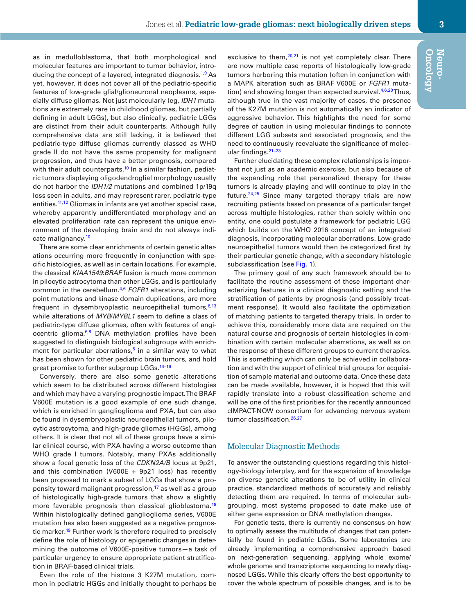as in medulloblastoma, that both morphological and molecular features are important to tumor behavior, intro-ducing the concept of a layered, integrated diagnosis.<sup>[1,](#page-10-0)9</sup> As yet, however, it does not cover all of the pediatric-specific features of low-grade glial/glioneuronal neoplasms, especially diffuse gliomas. Not just molecularly (eg, *IDH1* mutations are extremely rare in childhood gliomas, but partially defining in adult LGGs), but also clinically, pediatric LGGs are distinct from their adult counterparts. Although fully comprehensive data are still lacking, it is believed that pediatric-type diffuse gliomas currently classed as WHO grade II do not have the same propensity for malignant progression, and thus have a better prognosis, compared with their adult counterparts.<sup>10</sup> In a similar fashion, pediatric tumors displaying oligodendroglial morphology usually do not harbor the *IDH1/2* mutations and combined 1p/19q loss seen in adults, and may represent rarer, pediatric-type entities.<sup>11,12</sup> Gliomas in infants are yet another special case, whereby apparently undifferentiated morphology and an elevated proliferation rate can represent the unique environment of the developing brain and do not always indicate malignancy.<sup>10</sup>

There are some clear enrichments of certain genetic alterations occurring more frequently in conjunction with specific histologies, as well as in certain locations. For example, the classical *KIAA1549*:*BRAF* fusion is much more common in pilocytic astrocytoma than other LGGs, and is particularly common in the cerebellum[.4,](#page-10-3)[6](#page-10-4) *FGFR1* alterations, including point mutations and kinase domain duplications, are more frequent in dysembryoplastic neuroepithelial tumors,  $6,13$  $6,13$ while alterations of *MYB*/*MYBL1* seem to define a class of pediatric-type diffuse gliomas, often with features of angiocentric glioma. $6,8$  $6,8$  DNA methylation profiles have been suggested to distinguish biological subgroups with enrichment for particular aberrations, $5$  in a similar way to what has been shown for other pediatric brain tumors, and hold great promise to further subgroup LGGs.<sup>14-16</sup>

Conversely, there are also some genetic alterations which seem to be distributed across different histologies and which may have a varying prognostic impact. The BRAF V600E mutation is a good example of one such change, which is enriched in ganglioglioma and PXA, but can also be found in dysembryoplastic neuroepithelial tumors, pilocytic astrocytoma, and high-grade gliomas (HGGs), among others. It is clear that not all of these groups have a similar clinical course, with PXA having a worse outcome than WHO grade I tumors. Notably, many PXAs additionally show a focal genetic loss of the *CDKN2A/B* locus at 9p21, and this combination (V600E + 9p21 loss) has recently been proposed to mark a subset of LGGs that show a propensity toward malignant progression, $17$  as well as a group of histologically high-grade tumors that show a slightly more favorable prognosis than classical glioblastoma.<sup>[18](#page-10-14)</sup> Within histologically defined ganglioglioma series, V600E mutation has also been suggested as a negative prognostic marker.<sup>19</sup> Further work is therefore required to precisely define the role of histology or epigenetic changes in determining the outcome of V600E-positive tumors—a task of particular urgency to ensure appropriate patient stratification in BRAF-based clinical trials.

Even the role of the histone 3 K27M mutation, common in pediatric HGGs and initially thought to perhaps be

exclusive to them, $20,21$  is not yet completely clear. There are now multiple case reports of histologically low-grade tumors harboring this mutation (often in conjunction with a MAPK alteration such as BRAF V600E or *FGFR1* muta-tion) and showing longer than expected survival.<sup>4,[6](#page-10-4),[20](#page-10-16)</sup> Thus, although true in the vast majority of cases, the presence of the K27M mutation is not automatically an indicator of aggressive behavior. This highlights the need for some degree of caution in using molecular findings to connote different LGG subsets and associated prognosis, and the need to continuously reevaluate the significance of molecular findings.[21–23](#page-10-17)

Further elucidating these complex relationships is important not just as an academic exercise, but also because of the expanding role that personalized therapy for these tumors is already playing and will continue to play in the future.<sup>24,[25](#page-11-0)</sup> Since many targeted therapy trials are now recruiting patients based on presence of a particular target across multiple histologies, rather than solely within one entity, one could postulate a framework for pediatric LGG which builds on the WHO 2016 concept of an integrated diagnosis, incorporating molecular aberrations. Low-grade neuroepithelial tumors would then be categorized first by their particular genetic change, with a secondary histologic subclassification (see [Fig.](#page-3-0) 1).

The primary goal of any such framework should be to facilitate the routine assessment of these important characterizing features in a clinical diagnostic setting and the stratification of patients by prognosis (and possibly treatment response). It would also facilitate the optimization of matching patients to targeted therapy trials. In order to achieve this, considerably more data are required on the natural course and prognosis of certain histologies in combination with certain molecular aberrations, as well as on the response of these different groups to current therapies. This is something which can only be achieved in collaboration and with the support of clinical trial groups for acquisition of sample material and outcome data. Once these data can be made available, however, it is hoped that this will rapidly translate into a robust classification scheme and will be one of the first priorities for the recently announced cIMPACT-NOW consortium for advancing nervous system tumor classification.<sup>[26](#page-11-1),[27](#page-11-2)</sup>

#### Molecular Diagnostic Methods

To answer the outstanding questions regarding this histology-biology interplay, and for the expansion of knowledge on diverse genetic alterations to be of utility in clinical practice, standardized methods of accurately and reliably detecting them are required. In terms of molecular subgrouping, most systems proposed to date make use of either gene expression or DNA methylation changes.

For genetic tests, there is currently no consensus on how to optimally assess the multitude of changes that can potentially be found in pediatric LGGs. Some laboratories are already implementing a comprehensive approach based on next-generation sequencing, applying whole exome/ whole genome and transcriptome sequencing to newly diagnosed LGGs. While this clearly offers the best opportunity to cover the whole spectrum of possible changes, and is to be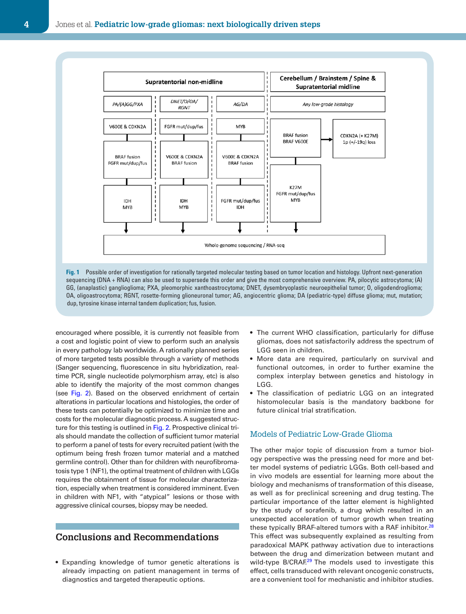

**Fig. 1** Possible order of investigation for rationally targeted molecular testing based on tumor location and histology. Upfront next-generation sequencing (DNA + RNA) can also be used to supersede this order and give the most comprehensive overview. PA, pilocytic astrocytoma; (A) GG, (anaplastic) ganglioglioma; PXA, pleomorphic xanthoastrocytoma; DNET, dysembryoplastic neuroepithelial tumor; O, oligodendroglioma; OA, oligoastrocytoma; RGNT, rosette-forming glioneuronal tumor; AG, angiocentric glioma; DA (pediatric-type) diffuse glioma; mut, mutation; dup, tyrosine kinase internal tandem duplication; fus, fusion.

encouraged where possible, it is currently not feasible from a cost and logistic point of view to perform such an analysis in every pathology lab worldwide. A rationally planned series of more targeted tests possible through a variety of methods (Sanger sequencing, fluorescence in situ hybridization, realtime PCR, single nucleotide polymorphism array, etc) is also able to identify the majority of the most common changes (see [Fig.](#page-4-0) 2). Based on the observed enrichment of certain alterations in particular locations and histologies, the order of these tests can potentially be optimized to minimize time and costs for the molecular diagnostic process. A suggested structure for this testing is outlined in [Fig.](#page-4-0) 2. Prospective clinical trials should mandate the collection of sufficient tumor material to perform a panel of tests for every recruited patient (with the optimum being fresh frozen tumor material and a matched germline control). Other than for children with neurofibromatosis type 1 (NF1), the optimal treatment of children with LGGs requires the obtainment of tissue for molecular characterization, especially when treatment is considered imminent. Even in children with NF1, with "atypical" lesions or those with aggressive clinical courses, biopsy may be needed.

## **Conclusions and Recommendations**

• Expanding knowledge of tumor genetic alterations is already impacting on patient management in terms of diagnostics and targeted therapeutic options.

- <span id="page-3-0"></span>• The current WHO classification, particularly for diffuse gliomas, does not satisfactorily address the spectrum of LGG seen in children.
- More data are required, particularly on survival and functional outcomes, in order to further examine the complex interplay between genetics and histology in LGG.
- The classification of pediatric LGG on an integrated histomolecular basis is the mandatory backbone for future clinical trial stratification.

#### Models of Pediatric Low-Grade Glioma

The other major topic of discussion from a tumor biology perspective was the pressing need for more and better model systems of pediatric LGGs. Both cell-based and in vivo models are essential for learning more about the biology and mechanisms of transformation of this disease, as well as for preclinical screening and drug testing. The particular importance of the latter element is highlighted by the study of sorafenib, a drug which resulted in an unexpected acceleration of tumor growth when treating these typically BRAF-altered tumors with a RAF inhibitor.<sup>[28](#page-11-3)</sup> This effect was subsequently explained as resulting from paradoxical MAPK pathway activation due to interactions between the drug and dimerization between mutant and wild-type B/CRAF.<sup>29</sup> The models used to investigate this effect, cells transduced with relevant oncogenic constructs, are a convenient tool for mechanistic and inhibitor studies.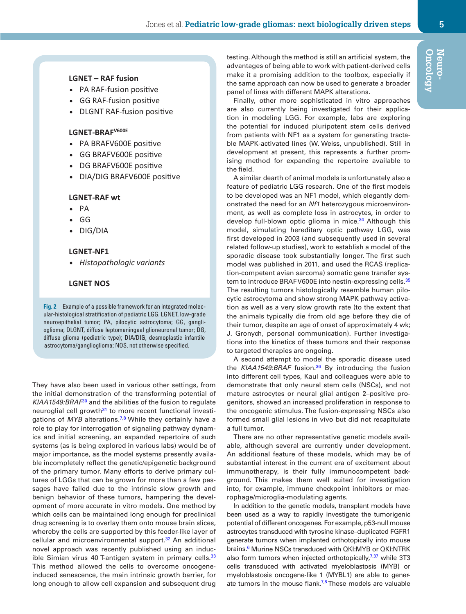#### **LGNET – RAF fusion**

- PA RAF-fusion positive
- GG RAF-fusion positive
- DLGNT RAF-fusion positive

### **LGNET-BRAFV600E**

- PA BRAFV600E positive
- GG BRAFV600E positive
- DG BRAFV600E positive
- DIA/DIG BRAFV600E positive

#### **LGNET-RAF wt**

- $\bullet$  PA
- GG
- DIG/DIA

#### **LGNET-NF1**

*Histopathologic variants*

#### **LGNET NOS**

**Fig. 2** Example of a possible framework for an integrated molecular-histological stratification of pediatric LGG. LGNET, low-grade neuroepithelial tumor; PA, pilocytic astrocytoma; GG, ganglioglioma; DLGNT, diffuse leptomeningeal glioneuronal tumor; DG, diffuse glioma (pediatric type); DIA/DIG, desmoplastic infantile astrocytoma/ganglioglioma; NOS, not otherwise specified.

They have also been used in various other settings, from the initial demonstration of the transforming potential of *KIAA1549:BRAF*[30](#page-11-5) and the abilities of the fusion to regulate neuroglial cell growth<sup>31</sup> to more recent functional investigations of *MYB* alterations.<sup>[7](#page-10-19),8</sup> While they certainly have a role to play for interrogation of signaling pathway dynamics and initial screening, an expanded repertoire of such systems (as is being explored in various labs) would be of major importance, as the model systems presently available incompletely reflect the genetic/epigenetic background of the primary tumor. Many efforts to derive primary cultures of LGGs that can be grown for more than a few passages have failed due to the intrinsic slow growth and benign behavior of these tumors, hampering the development of more accurate in vitro models. One method by which cells can be maintained long enough for preclinical drug screening is to overlay them onto mouse brain slices, whereby the cells are supported by this feeder-like layer of cellular and microenvironmental support.<sup>[32](#page-11-7)</sup> An additional novel approach was recently published using an induc-ible Simian virus 40 T-antigen system in primary cells.<sup>[33](#page-11-8)</sup> This method allowed the cells to overcome oncogeneinduced senescence, the main intrinsic growth barrier, for long enough to allow cell expansion and subsequent drug

<span id="page-4-0"></span>testing. Although the method is still an artificial system, the advantages of being able to work with patient-derived cells make it a promising addition to the toolbox, especially if the same approach can now be used to generate a broader panel of lines with different MAPK alterations.

Finally, other more sophisticated in vitro approaches are also currently being investigated for their application in modeling LGG. For example, labs are exploring the potential for induced pluripotent stem cells derived from patients with NF1 as a system for generating tractable MAPK-activated lines (W. Weiss, unpublished). Still in development at present, this represents a further promising method for expanding the repertoire available to the field.

A similar dearth of animal models is unfortunately also a feature of pediatric LGG research. One of the first models to be developed was an NF1 model, which elegantly demonstrated the need for an *Nf1* heterozygous microenvironment, as well as complete loss in astrocytes, in order to develop full-blown optic glioma in mice.<sup>[34](#page-11-9)</sup> Although this model, simulating hereditary optic pathway LGG, was first developed in 2003 (and subsequently used in several related follow-up studies), work to establish a model of the sporadic disease took substantially longer. The first such model was published in 2011, and used the RCAS (replication-competent avian sarcoma) somatic gene transfer sys-tem to introduce BRAF V600E into nestin-expressing cells.<sup>[35](#page-11-10)</sup> The resulting tumors histologically resemble human pilocytic astrocytoma and show strong MAPK pathway activation as well as a very slow growth rate (to the extent that the animals typically die from old age before they die of their tumor, despite an age of onset of approximately 4 wk; J. Gronych, personal communication). Further investigations into the kinetics of these tumors and their response to targeted therapies are ongoing.

A second attempt to model the sporadic disease used the *KIAA1549*:*BRAF* fusion.[36](#page-11-11) By introducing the fusion into different cell types, Kaul and colleagues were able to demonstrate that only neural stem cells (NSCs), and not mature astrocytes or neural glial antigen 2–positive progenitors, showed an increased proliferation in response to the oncogenic stimulus. The fusion-expressing NSCs also formed small glial lesions in vivo but did not recapitulate a full tumor.

There are no other representative genetic models available, although several are currently under development. An additional feature of these models, which may be of substantial interest in the current era of excitement about immunotherapy, is their fully immunocompetent background. This makes them well suited for investigation into, for example, immune checkpoint inhibitors or macrophage/microglia-modulating agents.

In addition to the genetic models, transplant models have been used as a way to rapidly investigate the tumorigenic potential of different oncogenes. For example, p53-null mouse astrocytes transduced with tyrosine kinase–duplicated FGFR1 generate tumors when implanted orthotopically into mouse brains.<sup>6</sup> Murine NSCs transduced with QKI:MYB or QKI:NTRK also form tumors when injected orthotopically, $7,37$  $7,37$  while 3T3 cells transduced with activated myeloblastosis (MYB) or myeloblastosis oncogene-like 1 (MYBL1) are able to generate tumors in the mouse flank.<sup>7,8</sup> These models are valuable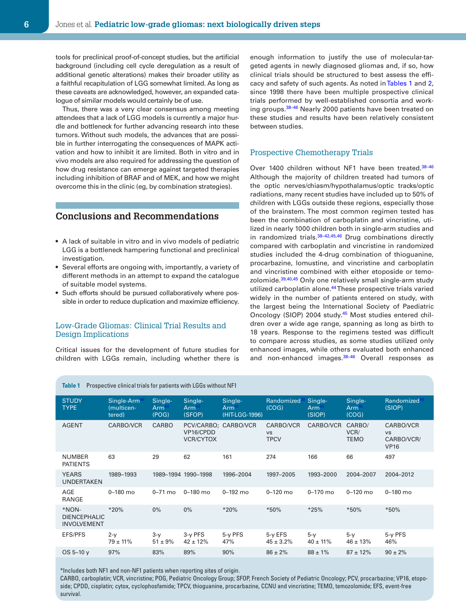tools for preclinical proof-of-concept studies, but the artificial background (including cell cycle deregulation as a result of additional genetic alterations) makes their broader utility as a faithful recapitulation of LGG somewhat limited. As long as these caveats are acknowledged, however, an expanded catalogue of similar models would certainly be of use.

Thus, there was a very clear consensus among meeting attendees that a lack of LGG models is currently a major hurdle and bottleneck for further advancing research into these tumors. Without such models, the advances that are possible in further interrogating the consequences of MAPK activation and how to inhibit it are limited. Both in vitro and in vivo models are also required for addressing the question of how drug resistance can emerge against targeted therapies including inhibition of BRAF and of MEK, and how we might overcome this in the clinic (eg, by combination strategies).

## **Conclusions and Recommendations**

- A lack of suitable in vitro and in vivo models of pediatric LGG is a bottleneck hampering functional and preclinical investigation.
- Several efforts are ongoing with, importantly, a variety of different methods in an attempt to expand the catalogue of suitable model systems.
- Such efforts should be pursued collaboratively where possible in order to reduce duplication and maximize efficiency.

#### Low-Grade Gliomas: Clinical Trial Results and Design Implications

Critical issues for the development of future studies for children with LGGs remain, including whether there is

enough information to justify the use of molecular-targeted agents in newly diagnosed gliomas and, if so, how clinical trials should be structured to best assess the efficacy and safety of such agents. As noted in [Tables 1](#page-5-0) and [2,](#page-6-0) since 1998 there have been multiple prospective clinical trials performed by well-established consortia and working groups.[38–46](#page-11-13) Nearly 2000 patients have been treated on these studies and results have been relatively consistent between studies.

#### Prospective Chemotherapy Trials

Over 1400 children without NF1 have been treated.<sup>38-46</sup> Although the majority of children treated had tumors of the optic nerves/chiasm/hypothalamus/optic tracks/optic radiations, many recent studies have included up to 50% of children with LGGs outside these regions, especially those of the brainstem. The most common regimen tested has been the combination of carboplatin and vincristine, utilized in nearly 1000 children both in single-arm studies and in randomized trials.[38–42](#page-11-13),[45,](#page-11-14)[46](#page-11-15) Drug combinations directly compared with carboplatin and vincristine in randomized studies included the 4-drug combination of thioguanine, procarbazine, lomustine, and vincristine and carboplatin and vincristine combined with either etoposide or temo-zolomide.<sup>[39](#page-11-16),[40](#page-11-17),45</sup> Only one relatively small single-arm study utilized carboplatin alone.<sup>44</sup> These prospective trials varied widely in the number of patients entered on study, with the largest being the International Society of Paediatric Oncology (SIOP) 2004 study.[45](#page-11-14) Most studies entered children over a wide age range, spanning as long as birth to 18 years. Response to the regimens tested was difficult to compare across studies, as some studies utilized only enhanced images, while others evaluated both enhanced and non-enhanced images.<sup>38-46</sup> Overall responses as

| <b>STUDY</b><br><b>TYPE</b>                        | Single-Arm<br>(multicen-<br>tered) | Single-<br>Arm<br>(POG) | Single-<br>Arm<br>(SFOP)                              | Single-<br>Arm<br>(HIT-LGG-1996) | Randomized<br>(COG)                   | Single-<br>Arm<br>(SIOP) | Single-<br>Arm<br>(COG)       | Randomized<br>(SIOP)                                |
|----------------------------------------------------|------------------------------------|-------------------------|-------------------------------------------------------|----------------------------------|---------------------------------------|--------------------------|-------------------------------|-----------------------------------------------------|
| <b>AGENT</b>                                       | CARBO/VCR                          | CARBO                   | PCV/CARBO; CARBO/VCR<br>VP16/CPDD<br><b>VCR/CYTOX</b> |                                  | CARBO/VCR<br><b>VS</b><br><b>TPCV</b> | CARBO/VCR                | CARBO/<br>VCR/<br><b>TEMO</b> | CARBO/VCR<br><b>VS</b><br>CARBO/VCR/<br><b>VP16</b> |
| <b>NUMBER</b><br><b>PATIENTS</b>                   | 63                                 | 29                      | 62                                                    | 161                              | 274                                   | 166                      | 66                            | 497                                                 |
| <b>YEARS</b><br><b>UNDERTAKEN</b>                  | 1989-1993                          |                         | 1989-1994 1990-1998                                   | 1996-2004                        | 1997-2005                             | 1993-2000                | 2004-2007                     | 2004-2012                                           |
| <b>AGE</b><br>RANGE                                | $0 - 180$ mo                       | $0-71$ mo               | $0 - 180$ mo                                          | $0 - 192$ mo                     | $0 - 120$ mo                          | $0 - 170$ mo             | $0 - 120$ mo                  | $0 - 180$ mo                                        |
| *NON-<br><b>DIENCEPHALIC</b><br><b>INVOLVEMENT</b> | $*20%$                             | $0\%$                   | $0\%$                                                 | *20%                             | *50%                                  | *25%                     | *50%                          | *50%                                                |
| <b>EFS/PFS</b>                                     | $2-y$<br>$79 \pm 11\%$             | $3-y$<br>$51 \pm 9\%$   | 3-y PFS<br>$42 \pm 12\%$                              | 5-y PFS<br>47%                   | 5-y EFS<br>$45 \pm 3.2\%$             | $5-y$<br>$40 \pm 11\%$   | $5-y$<br>$46 \pm 13\%$        | 5-y PFS<br>46%                                      |
| $OS 5 - 10 V$                                      | 97%                                | 83%                     | 89%                                                   | 90%                              | $86 \pm 2\%$                          | $88 \pm 1\%$             | $87 \pm 12\%$                 | $90 \pm 2\%$                                        |
|                                                    |                                    |                         |                                                       |                                  |                                       |                          |                               |                                                     |

<span id="page-5-0"></span>**Table 1** Prospective clinical trials for patients with LGGs without NF1

\*Includes both NF1 and non-NF1 patients when reporting sites of origin.

CARBO, carboplatin; VCR, vincristine; POG, Pediatric Oncology Group; SFOP, French Society of Pediatric Oncology; PCV, procarbazine; VP16, etoposide; CPDD, cisplatin; cytox, cyclophosfamide; TPCV, thioguanine, procarbazine, CCNU and vincristine; TEMO, temozolomide; EFS, event-free survival.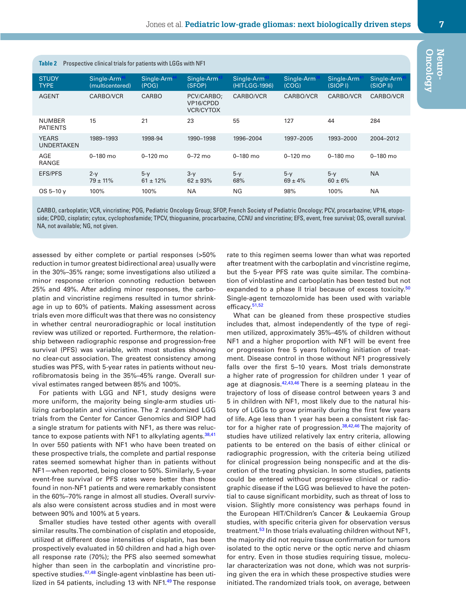<span id="page-6-0"></span>

| Prospective clinical trials for patients with LGGs with NF1<br><b>Table 2</b> |                               |                        |                                             |                              |                       |                                    |                        |  |  |  |  |
|-------------------------------------------------------------------------------|-------------------------------|------------------------|---------------------------------------------|------------------------------|-----------------------|------------------------------------|------------------------|--|--|--|--|
| <b>STUDY</b><br><b>TYPE</b>                                                   | Single-Arm<br>(multicentered) | Single-Arm<br>(POG)    | Single-Arm<br>(SFOP)                        | Single-Arm<br>(HIT-LGG-1996) | Single-Arm<br>(COG)   | Single-Arm <sup>4</sup><br>(SIOPI) | Single-Arm<br>(SIOPII) |  |  |  |  |
| <b>AGENT</b>                                                                  | CARBO/VCR                     | <b>CARBO</b>           | PCV/CARBO;<br>VP16/CPDD<br><b>VCR/CYTOX</b> | CARBO/VCR                    | CARBO/VCR             | CARBO/VCR                          | CARBO/VCR              |  |  |  |  |
| <b>NUMBER</b><br><b>PATIENTS</b>                                              | 15                            | 21                     | 23                                          | 55                           | 127                   | 44                                 | 284                    |  |  |  |  |
| <b>YEARS</b><br><b>UNDERTAKEN</b>                                             | 1989-1993                     | 1998-94                | 1990-1998                                   | 1996-2004                    | 1997-2005             | 1993-2000                          | 2004-2012              |  |  |  |  |
| AGE<br>RANGE                                                                  | $0 - 180$ mo                  | $0 - 120$ mo           | $0 - 72$ mo                                 | $0 - 180$ mo                 | $0 - 120$ mo          | $0 - 180$ mo                       | $0 - 180$ mo           |  |  |  |  |
| <b>EFS/PFS</b>                                                                | $2-y$<br>$79 \pm 11\%$        | $5-y$<br>$61 \pm 12\%$ | $3-y$<br>$62 \pm 93\%$                      | $5-y$<br>68%                 | $5-y$<br>$69 \pm 4\%$ | $5-y$<br>$60 \pm 6\%$              | <b>NA</b>              |  |  |  |  |
| $OS 5 - 10 y$                                                                 | 100%                          | 100%                   | <b>NA</b>                                   | NG                           | 98%                   | 100%                               | <b>NA</b>              |  |  |  |  |
|                                                                               |                               |                        |                                             |                              |                       |                                    |                        |  |  |  |  |

CARBO, carboplatin; VCR, vincristine; POG, Pediatric Oncology Group; SFOP, French Society of Pediatric Oncology; PCV, procarbazine; VP16, etoposide; CPDD, cisplatin; cytox, cyclophosfamide; TPCV, thioguanine, procarbazine, CCNU and vincristine; EFS, event, free survival; OS, overall survival. NA, not available; NG, not given.

assessed by either complete or partial responses (>50% reduction in tumor greatest bidirectional area) usually were in the 30%–35% range; some investigations also utilized a minor response criterion connoting reduction between 25% and 49%. After adding minor responses, the carboplatin and vincristine regimens resulted in tumor shrinkage in up to 60% of patients. Making assessment across trials even more difficult was that there was no consistency in whether central neuroradiographic or local institution review was utilized or reported. Furthermore, the relationship between radiographic response and progression-free survival (PFS) was variable, with most studies showing no clear-cut association. The greatest consistency among studies was PFS, with 5-year rates in patients without neurofibromatosis being in the 35%–45% range. Overall survival estimates ranged between 85% and 100%.

For patients with LGG and NF1, study designs were more uniform, the majority being single-arm studies utilizing carboplatin and vincristine. The 2 randomized LGG trials from the Center for Cancer Genomics and SIOP had a single stratum for patients with NF1, as there was reluc-tance to expose patients with NF1 to alkylating agents. [38](#page-11-13),[41](#page-11-20) In over 550 patients with NF1 who have been treated on these prospective trials, the complete and partial response rates seemed somewhat higher than in patients without NF1—when reported, being closer to 50%. Similarly, 5-year event-free survival or PFS rates were better than those found in non-NF1 patients and were remarkably consistent in the 60%–70% range in almost all studies. Overall survivals also were consistent across studies and in most were between 90% and 100% at 5 years.

Smaller studies have tested other agents with overall similar results. The combination of cisplatin and etoposide, utilized at different dose intensities of cisplatin, has been prospectively evaluated in 50 children and had a high overall response rate (70%); the PFS also seemed somewhat higher than seen in the carboplatin and vincristine pro-spective studies.<sup>[47](#page-11-21),48</sup> Single-agent vinblastine has been uti-lized in 54 patients, including 13 with NF1.[49](#page-11-23) The response

rate to this regimen seems lower than what was reported after treatment with the carboplatin and vincristine regime, but the 5-year PFS rate was quite similar. The combination of vinblastine and carboplatin has been tested but not expanded to a phase II trial because of excess toxicity.<sup>[50](#page-11-24)</sup> Single-agent temozolomide has been used with variable efficacy.<sup>[51](#page-11-25)[,52](#page-11-26)</sup>

What can be gleaned from these prospective studies includes that, almost independently of the type of regimen utilized, approximately 35%–45% of children without NF1 and a higher proportion with NF1 will be event free or progression free 5 years following initiation of treatment. Disease control in those without NF1 progressively falls over the first 5–10 years. Most trials demonstrate a higher rate of progression for children under 1 year of age at diagnosis.<sup>42,[43,](#page-11-19)[46](#page-11-15)</sup> There is a seeming plateau in the trajectory of loss of disease control between years 3 and 5 in children with NF1, most likely due to the natural history of LGGs to grow primarily during the first few years of life. Age less than 1 year has been a consistent risk factor for a higher rate of progression. $38,42,46$  $38,42,46$  $38,42,46$  $38,42,46$  The majority of studies have utilized relatively lax entry criteria, allowing patients to be entered on the basis of either clinical or radiographic progression, with the criteria being utilized for clinical progression being nonspecific and at the discretion of the treating physician. In some studies, patients could be entered without progressive clinical or radiographic disease if the LGG was believed to have the potential to cause significant morbidity, such as threat of loss to vision. Slightly more consistency was perhaps found in the European HIT/Children's Cancer & Leukaemia Group studies, with specific criteria given for observation versus treatment.<sup>53</sup> In those trials evaluating children without NF1, the majority did not require tissue confirmation for tumors isolated to the optic nerve or the optic nerve and chiasm for entry. Even in those studies requiring tissue, molecular characterization was not done, which was not surprising given the era in which these prospective studies were initiated. The randomized trials took, on average, between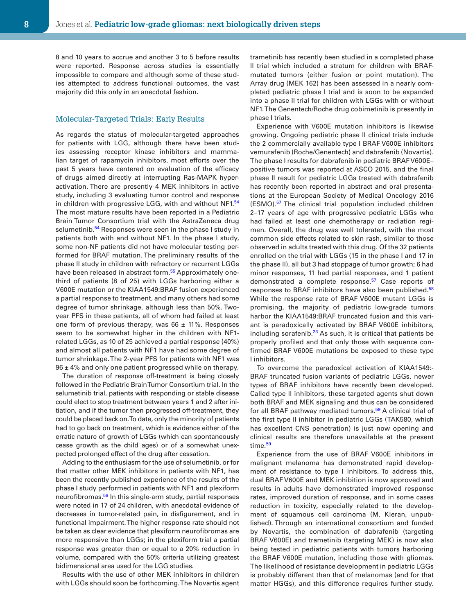8 and 10 years to accrue and another 3 to 5 before results were reported. Response across studies is essentially impossible to compare and although some of these studies attempted to address functional outcomes, the vast majority did this only in an anecdotal fashion.

#### Molecular-Targeted Trials: Early Results

As regards the status of molecular-targeted approaches for patients with LGG, although there have been studies assessing receptor kinase inhibitors and mammalian target of rapamycin inhibitors, most efforts over the past 5 years have centered on evaluation of the efficacy of drugs aimed directly at interrupting Ras-MAPK hyperactivation. There are presently 4 MEK inhibitors in active study, including 3 evaluating tumor control and response in children with progressive LGG, with and without NF1.[54](#page-11-29) The most mature results have been reported in a Pediatric Brain Tumor Consortium trial with the AstraZeneca drug selumetinib.<sup>54</sup> Responses were seen in the phase I study in patients both with and without NF1. In the phase I study, some non-NF patients did not have molecular testing performed for BRAF mutation. The preliminary results of the phase II study in children with refractory or recurrent LGGs have been released in abstract form.<sup>55</sup> Approximately onethird of patients (8 of 25) with LGGs harboring either a V600E mutation or the KIAA1549:BRAF fusion experienced a partial response to treatment, and many others had some degree of tumor shrinkage, although less than 50%. Twoyear PFS in these patients, all of whom had failed at least one form of previous therapy, was  $66 \pm 11\%$ . Responses seem to be somewhat higher in the children with NF1 related LGGs, as 10 of 25 achieved a partial response (40%) and almost all patients with NF1 have had some degree of tumor shrinkage. The 2-year PFS for patients with NF1 was  $96 \pm 4\%$  and only one patient progressed while on therapy.

The duration of response off-treatment is being closely followed in the Pediatric Brain Tumor Consortium trial. In the selumetinib trial, patients with responding or stable disease could elect to stop treatment between years 1 and 2 after initiation, and if the tumor then progressed off-treatment, they could be placed back on. To date, only the minority of patients had to go back on treatment, which is evidence either of the erratic nature of growth of LGGs (which can spontaneously cease growth as the child ages) or of a somewhat unexpected prolonged effect of the drug after cessation.

Adding to the enthusiasm for the use of selumetinib, or for that matter other MEK inhibitors in patients with NF1, has been the recently published experience of the results of the phase I study performed in patients with NF1 and plexiform neurofibromas.<sup>56</sup> In this single-arm study, partial responses were noted in 17 of 24 children, with anecdotal evidence of decreases in tumor-related pain, in disfigurement, and in functional impairment. The higher response rate should not be taken as clear evidence that plexiform neurofibromas are more responsive than LGGs; in the plexiform trial a partial response was greater than or equal to a 20% reduction in volume, compared with the 50% criteria utilizing greatest bidimensional area used for the LGG studies.

Results with the use of other MEK inhibitors in children with LGGs should soon be forthcoming. The Novartis agent trametinib has recently been studied in a completed phase II trial which included a stratum for children with BRAFmutated tumors (either fusion or point mutation). The Array drug (MEK 162) has been assessed in a nearly completed pediatric phase I trial and is soon to be expanded into a phase II trial for children with LGGs with or without NF1. The Genentech/Roche drug cobimetinib is presently in phase I trials.

Experience with V600E mutation inhibitors is likewise growing. Ongoing pediatric phase II clinical trials include the 2 commercially available type I BRAF V600E inhibitors vemurafenib (Roche/Genentech) and dabrafenib (Novartis). The phase I results for dabrafenib in pediatric BRAF V600E– positive tumors was reported at ASCO 2015, and the final phase II result for pediatric LGGs treated with dabrafenib has recently been reported in abstract and oral presentations at the European Society of Medical Oncology 2016 (ESMO)[.57](#page-11-32) The clinical trial population included children 2–17 years of age with progressive pediatric LGGs who had failed at least one chemotherapy or radiation regimen. Overall, the drug was well tolerated, with the most common side effects related to skin rash, similar to those observed in adults treated with this drug. Of the 32 patients enrolled on the trial with LGGs (15 in the phase I and 17 in the phase II), all but 3 had stoppage of tumor growth; 6 had minor responses, 11 had partial responses, and 1 patient demonstrated a complete response.<sup>57</sup> Case reports of responses to BRAF inhibitors have also been published.<sup>[58](#page-11-33)</sup> While the response rate of BRAF V600E mutant LGGs is promising, the majority of pediatric low-grade tumors harbor the KIAA1549:BRAF truncated fusion and this variant is paradoxically activated by BRAF V600E inhibitors, including sorafenib. $^{23}$  $^{23}$  $^{23}$  As such, it is critical that patients be properly profiled and that only those with sequence confirmed BRAF V600E mutations be exposed to these type I inhibitors.

To overcome the paradoxical activation of KIAA1549:- BRAF truncated fusion variants of pediatric LGGs, newer types of BRAF inhibitors have recently been developed. Called type II inhibitors, these targeted agents shut down both BRAF and MEK signaling and thus can be considered for all BRAF pathway mediated tumors.<sup>59</sup> A clinical trial of the first type II inhibitor in pediatric LGGs (TAK580, which has excellent CNS penetration) is just now opening and clinical results are therefore unavailable at the present time.<sup>59</sup>

Experience from the use of BRAF V600E inhibitors in malignant melanoma has demonstrated rapid development of resistance to type I inhibitors. To address this, dual BRAF V600E and MEK inhibition is now approved and results in adults have demonstrated improved response rates, improved duration of response, and in some cases reduction in toxicity, especially related to the development of squamous cell carcinoma (M. Kieran, unpublished). Through an international consortium and funded by Novartis, the combination of dabrafenib (targeting BRAF V600E) and trametinib (targeting MEK) is now also being tested in pediatric patients with tumors harboring the BRAF V600E mutation, including those with gliomas. The likelihood of resistance development in pediatric LGGs is probably different than that of melanomas (and for that matter HGGs), and this difference requires further study.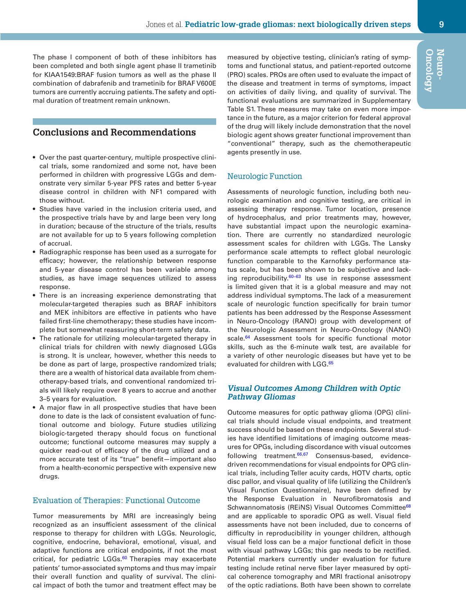The phase I component of both of these inhibitors has been completed and both single agent phase II trametinib for KIAA1549:BRAF fusion tumors as well as the phase II combination of dabrafenib and trametinib for BRAF V600E tumors are currently accruing patients. The safety and optimal duration of treatment remain unknown.

## **Conclusions and Recommendations**

- Over the past quarter-century, multiple prospective clinical trials, some randomized and some not, have been performed in children with progressive LGGs and demonstrate very similar 5-year PFS rates and better 5-year disease control in children with NF1 compared with those without.
- Studies have varied in the inclusion criteria used, and the prospective trials have by and large been very long in duration; because of the structure of the trials, results are not available for up to 5 years following completion of accrual.
- Radiographic response has been used as a surrogate for efficacy; however, the relationship between response and 5-year disease control has been variable among studies, as have image sequences utilized to assess response.
- There is an increasing experience demonstrating that molecular-targeted therapies such as BRAF inhibitors and MEK inhibitors are effective in patients who have failed first-line chemotherapy; these studies have incomplete but somewhat reassuring short-term safety data.
- The rationale for utilizing molecular-targeted therapy in clinical trials for children with newly diagnosed LGGs is strong. It is unclear, however, whether this needs to be done as part of large, prospective randomized trials; there are a wealth of historical data available from chemotherapy-based trials, and conventional randomized trials will likely require over 8 years to accrue and another 3–5 years for evaluation.
- A major flaw in all prospective studies that have been done to date is the lack of consistent evaluation of functional outcome and biology. Future studies utilizing biologic-targeted therapy should focus on functional outcome; functional outcome measures may supply a quicker read-out of efficacy of the drug utilized and a more accurate test of its "true" benefit—important also from a health-economic perspective with expensive new drugs.

#### Evaluation of Therapies: Functional Outcome

Tumor measurements by MRI are increasingly being recognized as an insufficient assessment of the clinical response to therapy for children with LGGs. Neurologic, cognitive, endocrine, behavioral, emotional, visual, and adaptive functions are critical endpoints, if not the most critical, for pediatric LGGs.<sup>[60](#page-12-0)</sup> Therapies may exacerbate patients' tumor-associated symptoms and thus may impair their overall function and quality of survival. The clinical impact of both the tumor and treatment effect may be measured by objective testing, clinician's rating of symptoms and functional status, and patient-reported outcome (PRO) scales. PROs are often used to evaluate the impact of the disease and treatment in terms of symptoms, impact on activities of daily living, and quality of survival. The functional evaluations are summarized in Supplementary Table S1. These measures may take on even more importance in the future, as a major criterion for federal approval of the drug will likely include demonstration that the novel biologic agent shows greater functional improvement than "conventional" therapy, such as the chemotherapeutic agents presently in use.

#### Neurologic Function

Assessments of neurologic function, including both neurologic examination and cognitive testing, are critical in assessing therapy response. Tumor location, presence of hydrocephalus, and prior treatments may, however, have substantial impact upon the neurologic examination. There are currently no standardized neurologic assessment scales for children with LGGs. The Lansky performance scale attempts to reflect global neurologic function comparable to the Karnofsky performance status scale, but has been shown to be subjective and lacking reproducibility. $60-63$  Its use in response assessment is limited given that it is a global measure and may not address individual symptoms. The lack of a measurement scale of neurologic function specifically for brain tumor patients has been addressed by the Response Assessment in Neuro-Oncology (RANO) group with development of the Neurologic Assessment in Neuro-Oncology (NANO) scale.<sup>64</sup> Assessment tools for specific functional motor skills, such as the 6-minute walk test, are available for a variety of other neurologic diseases but have yet to be evaluated for children with LGG.<sup>[65](#page-12-2)</sup>

#### *Visual Outcomes Among Children with Optic Pathway Gliomas*

Outcome measures for optic pathway glioma (OPG) clinical trials should include visual endpoints, and treatment success should be based on these endpoints. Several studies have identified limitations of imaging outcome measures for OPGs, including discordance with visual outcomes following treatment. $66,67$  $66,67$  Consensus-based, evidencedriven recommendations for visual endpoints for OPG clinical trials, including Teller acuity cards, HOTV charts, optic disc pallor, and visual quality of life (utilizing the Children's Visual Function Questionnaire), have been defined by the Response Evaluation in Neurofibromatosis and Schwannomatosis (REiNS) Visual Outcomes Committee<sup>[68](#page-12-5)</sup> and are applicable to sporadic OPG as well. Visual field assessments have not been included, due to concerns of difficulty in reproducibility in younger children, although visual field loss can be a major functional deficit in those with visual pathway LGGs; this gap needs to be rectified. Potential markers currently under evaluation for future testing include retinal nerve fiber layer measured by optical coherence tomography and MRI fractional anisotropy of the optic radiations. Both have been shown to correlate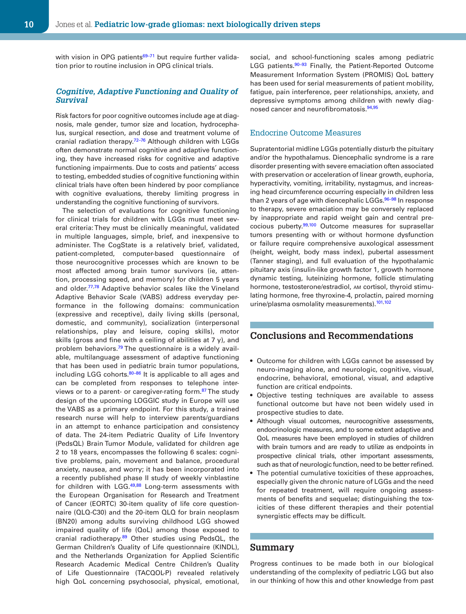with vision in OPG patients<sup>69-71</sup> but require further validation prior to routine inclusion in OPG clinical trials.

#### *Cognitive, Adaptive Functioning and Quality of Survival*

Risk factors for poor cognitive outcomes include age at diagnosis, male gender, tumor size and location, hydrocephalus, surgical resection, and dose and treatment volume of cranial radiation therapy.<sup>72-76</sup> Although children with LGGs often demonstrate normal cognitive and adaptive functioning, they have increased risks for cognitive and adaptive functioning impairments. Due to costs and patients' access to testing, embedded studies of cognitive functioning within clinical trials have often been hindered by poor compliance with cognitive evaluations, thereby limiting progress in understanding the cognitive functioning of survivors.

The selection of evaluations for cognitive functioning for clinical trials for children with LGGs must meet several criteria: They must be clinically meaningful, validated in multiple languages, simple, brief, and inexpensive to administer. The CogState is a relatively brief, validated, patient-completed, computer-based questionnaire of those neurocognitive processes which are known to be most affected among brain tumor survivors (ie, attention, processing speed, and memory) for children 5 years and older.<sup>77,[78](#page-12-9)</sup> Adaptive behavior scales like the Vineland Adaptive Behavior Scale (VABS) address everyday performance in the following domains: communication (expressive and receptive), daily living skills (personal, domestic, and community), socialization (interpersonal relationships, play and leisure, coping skills), motor skills (gross and fine with a ceiling of abilities at  $7$  y), and problem behaviors.<sup>79</sup> The questionnaire is a widely available, multilanguage assessment of adaptive functioning that has been used in pediatric brain tumor populations, including LGG cohorts.<sup>80–86</sup> It is applicable to all ages and can be completed from responses to telephone interviews or to a parent- or caregiver-rating form.<sup>87</sup> The study design of the upcoming LOGGIC study in Europe will use the VABS as a primary endpoint. For this study, a trained research nurse will help to interview parents/guardians in an attempt to enhance participation and consistency of data. The 24-item Pediatric Quality of Life Inventory (PedsQL) Brain Tumor Module, validated for children age 2 to 18 years, encompasses the following 6 scales: cognitive problems, pain, movement and balance, procedural anxiety, nausea, and worry; it has been incorporated into a recently published phase II study of weekly vinblastine for children with LGG.<sup>[49](#page-11-23),[88](#page-12-13)</sup> Long-term assessments with the European Organisation for Research and Treatment of Cancer (EORTC) 30-item quality of life core questionnaire (QLQ-C30) and the 20-item QLQ for brain neoplasm (BN20) among adults surviving childhood LGG showed impaired quality of life (QoL) among those exposed to cranial radiotherapy.<sup>[89](#page-12-14)</sup> Other studies using PedsQL, the German Children's Quality of Life questionnaire (KINDL), and the Netherlands Organization for Applied Scientific Research Academic Medical Centre Children's Quality of Life Questionnaire (TACQOL-P) revealed relatively high QoL concerning psychosocial, physical, emotional,

social, and school-functioning scales among pediatric LGG patients.<sup>90-93</sup> Finally, the Patient-Reported Outcome Measurement Information System (PROMIS) QoL battery has been used for serial measurements of patient mobility, fatigue, pain interference, peer relationships, anxiety, and depressive symptoms among children with newly diagnosed cancer and neurofibromatosis.[94](#page-12-16),[95](#page-12-17)

#### Endocrine Outcome Measures

Supratentorial midline LGGs potentially disturb the pituitary and/or the hypothalamus. Diencephalic syndrome is a rare disorder presenting with severe emaciation often associated with preservation or acceleration of linear growth, euphoria, hyperactivity, vomiting, irritability, nystagmus, and increasing head circumference occurring especially in children less than 2 years of age with diencephalic LGGs.<sup>96-98</sup> In response to therapy, severe emaciation may be conversely replaced by inappropriate and rapid weight gain and central pre-cocious puberty.<sup>99,[100](#page-13-1)</sup> Outcome measures for suprasellar tumors presenting with or without hormone dysfunction or failure require comprehensive auxological assessment (height, weight, body mass index), pubertal assessment (Tanner staging), and full evaluation of the hypothalamic pituitary axis (insulin-like growth factor 1, growth hormone dynamic testing, luteinizing hormone, follicle stimulating hormone, testosterone/estradiol, AM cortisol, thyroid stimulating hormone, free thyroxine-4, prolactin, paired morning urine/plasma osmolality measurements).<sup>[101](#page-13-2),[102](#page-13-3)</sup>

## **Conclusions and Recommendations**

- Outcome for children with LGGs cannot be assessed by neuro-imaging alone, and neurologic, cognitive, visual, endocrine, behavioral, emotional, visual, and adaptive function are critical endpoints.
- Objective testing techniques are available to assess functional outcome but have not been widely used in prospective studies to date.
- Although visual outcomes, neurocognitive assessments, endocrinologic measures, and to some extent adaptive and QoL measures have been employed in studies of children with brain tumors and are ready to utilize as endpoints in prospective clinical trials, other important assessments, such as that of neurologic function, need to be better refined.
- The potential cumulative toxicities of these approaches, especially given the chronic nature of LGGs and the need for repeated treatment, will require ongoing assessments of benefits and sequelae; distinguishing the toxicities of these different therapies and their potential synergistic effects may be difficult.

#### **Summary**

Progress continues to be made both in our biological understanding of the complexity of pediatric LGG but also in our thinking of how this and other knowledge from past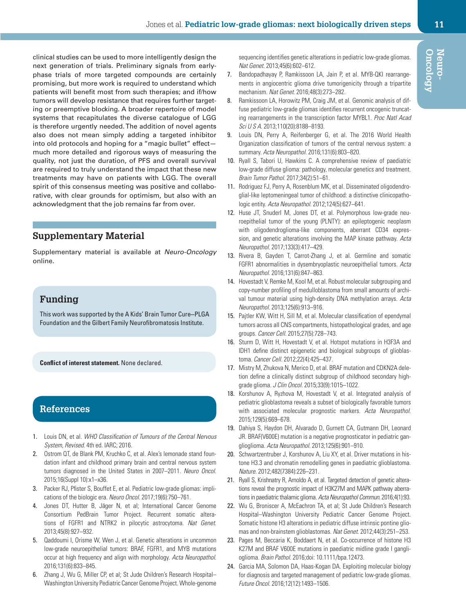clinical studies can be used to more intelligently design the next generation of trials. Preliminary signals from earlyphase trials of more targeted compounds are certainly promising, but more work is required to understand which patients will benefit most from such therapies; and if/how tumors will develop resistance that requires further targeting or preemptive blocking. A broader repertoire of model systems that recapitulates the diverse catalogue of LGG is therefore urgently needed. The addition of novel agents also does not mean simply adding a targeted inhibitor into old protocols and hoping for a "magic bullet" effect much more detailed and rigorous ways of measuring the quality, not just the duration, of PFS and overall survival are required to truly understand the impact that these new treatments may have on patients with LGG. The overall spirit of this consensus meeting was positive and collaborative, with clear grounds for optimism, but also with an acknowledgment that the job remains far from over.

## **Supplementary Material**

Supplementary material is available at *Neuro-Oncology* online.

## **Funding**

This work was supported by the A Kids' Brain Tumor Cure-PLGA Foundation and the Gilbert Family Neurofibromatosis Institute.

**Conflict of interest statement.** None declared.

## **References**

- <span id="page-10-0"></span>1. Louis DN, et al. *WHO Classification of Tumours of the Central Nervous System, Revised*. 4th ed. IARC; 2016.
- <span id="page-10-1"></span>2. Ostrom QT, de Blank PM, Kruchko C, et al. Alex's lemonade stand foundation infant and childhood primary brain and central nervous system tumors diagnosed in the United States in 2007–2011. *Neuro Oncol*. 2015;16(Suppl 10):x1–x36.
- <span id="page-10-2"></span>3. Packer RJ, Pfister S, Bouffet E, et al. Pediatric low-grade gliomas: implications of the biologic era. *Neuro Oncol*. 2017;19(6):750–761.
- <span id="page-10-3"></span>4. Jones DT, Hutter B, Jäger N, et al; International Cancer Genome Consortium PedBrain Tumor Project. Recurrent somatic alterations of FGFR1 and NTRK2 in pilocytic astrocytoma. *Nat Genet*. 2013;45(8):927–932.
- <span id="page-10-11"></span>5. Qaddoumi I, Orisme W, Wen J, et al. Genetic alterations in uncommon low-grade neuroepithelial tumors: BRAF, FGFR1, and MYB mutations occur at high frequency and align with morphology. *Acta Neuropathol*. 2016;131(6):833–845.
- <span id="page-10-4"></span>6. Zhang J, Wu G, Miller CP, et al; St Jude Children's Research Hospital– Washington University Pediatric Cancer Genome Project. Whole-genome

sequencing identifies genetic alterations in pediatric low-grade gliomas. *Nat Genet*. 2013;45(6):602–612.

- <span id="page-10-19"></span>7. Bandopadhayay P, Ramkissoon LA, Jain P, et al. MYB-QKI rearrangements in angiocentric glioma drive tumorigenicity through a tripartite mechanism. *Nat Genet*. 2016;48(3):273–282.
- <span id="page-10-10"></span>8. Ramkissoon LA, Horowitz PM, Craig JM, et al. Genomic analysis of diffuse pediatric low-grade gliomas identifies recurrent oncogenic truncating rearrangements in the transcription factor MYBL1. *Proc Natl Acad Sci U S A*. 2013;110(20):8188–8193.
- <span id="page-10-5"></span>9. Louis DN, Perry A, Reifenberger G, et al. The 2016 World Health Organization classification of tumors of the central nervous system: a summary. *Acta Neuropathol*. 2016;131(6):803–820.
- <span id="page-10-6"></span>10. Ryall S, Tabori U, Hawkins C. A comprehensive review of paediatric low-grade diffuse glioma: pathology, molecular genetics and treatment. *Brain Tumor Pathol*. 2017;34(2):51–61.
- <span id="page-10-7"></span>11. Rodriguez FJ, Perry A, Rosenblum MK, et al. Disseminated oligodendroglial-like leptomeningeal tumor of childhood: a distinctive clinicopathologic entity. *Acta Neuropathol*. 2012;124(5):627–641.
- <span id="page-10-8"></span>12. Huse JT, Snuderl M, Jones DT, et al. Polymorphous low-grade neuroepithelial tumor of the young (PLNTY): an epileptogenic neoplasm with oligodendroglioma-like components, aberrant CD34 expression, and genetic alterations involving the MAP kinase pathway. *Acta Neuropathol*. 2017;133(3):417–429.
- <span id="page-10-9"></span>13. Rivera B, Gayden T, Carrot-Zhang J, et al. Germline and somatic FGFR1 abnormalities in dysembryoplastic neuroepithelial tumors. *Acta Neuropathol*. 2016;131(6):847–863.
- <span id="page-10-12"></span>14. Hovestadt V, Remke M, Kool M, et al. Robust molecular subgrouping and copy-number profiling of medulloblastoma from small amounts of archival tumour material using high-density DNA methylation arrays. *Acta Neuropathol*. 2013;125(6):913–916.
- 15. Pajtler KW, Witt H, Sill M, et al. Molecular classification of ependymal tumors across all CNS compartments, histopathological grades, and age groups. *Cancer Cell*. 2015;27(5):728–743.
- 16. Sturm D, Witt H, Hovestadt V, et al. Hotspot mutations in H3F3A and IDH1 define distinct epigenetic and biological subgroups of glioblastoma. *Cancer Cell*. 2012;22(4):425–437.
- <span id="page-10-13"></span>17. Mistry M, Zhukova N, Merico D, et al. BRAF mutation and CDKN2A deletion define a clinically distinct subgroup of childhood secondary highgrade glioma. *J Clin Oncol*. 2015;33(9):1015–1022.
- <span id="page-10-14"></span>18. Korshunov A, Ryzhova M, Hovestadt V, et al. Integrated analysis of pediatric glioblastoma reveals a subset of biologically favorable tumors with associated molecular prognostic markers. *Acta Neuropathol*. 2015;129(5):669–678.
- <span id="page-10-15"></span>19. Dahiya S, Haydon DH, Alvarado D, Gurnett CA, Gutmann DH, Leonard JR. BRAF(V600E) mutation is a negative prognosticator in pediatric ganglioglioma. *Acta Neuropathol*. 2013;125(6):901–910.
- <span id="page-10-16"></span>20. Schwartzentruber J, Korshunov A, Liu XY, et al. Driver mutations in histone H3.3 and chromatin remodelling genes in paediatric glioblastoma. *Nature*. 2012;482(7384):226–231.
- <span id="page-10-17"></span>21. Ryall S, Krishnatry R, Arnoldo A, et al. Targeted detection of genetic alterations reveal the prognostic impact of H3K27M and MAPK pathway aberrations in paediatric thalamic glioma. *Acta Neuropathol Commun*. 2016;4(1):93.
- 22. Wu G, Broniscer A, McEachron TA, et al; St Jude Children's Research Hospital–Washington University Pediatric Cancer Genome Project. Somatic histone H3 alterations in pediatric diffuse intrinsic pontine gliomas and non-brainstem glioblastomas. *Nat Genet*. 2012;44(3):251–253.
- <span id="page-10-20"></span>23. Pages M, Beccaria K, Boddaert N, et al. Co-occurrence of histone H3 K27M and BRAF V600E mutations in paediatric midline grade I ganglioglioma. *Brain Pathol*. 2016;doi: 10.1111/bpa.12473.
- <span id="page-10-18"></span>24. Garcia MA, Solomon DA, Haas-Kogan DA. Exploiting molecular biology for diagnosis and targeted management of pediatric low-grade gliomas. *Future Oncol*. 2016;12(12):1493–1506.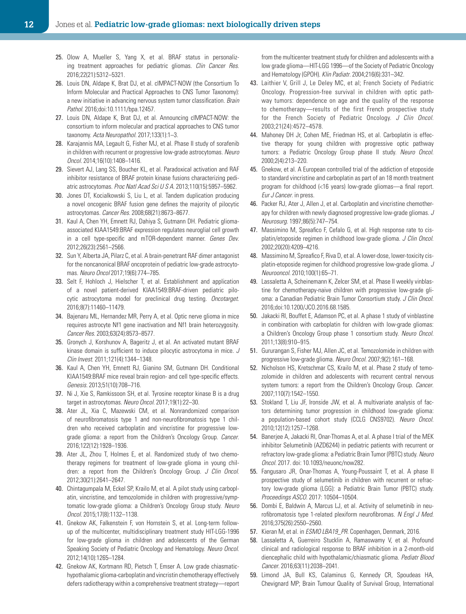- <span id="page-11-0"></span>25. Olow A, Mueller S, Yang X, et al. BRAF status in personalizing treatment approaches for pediatric gliomas. *Clin Cancer Res*. 2016;22(21):5312–5321.
- <span id="page-11-1"></span>26. Louis DN, Aldape K, Brat DJ, et al. cIMPACT-NOW (the Consortium To Inform Molecular and Practical Approaches to CNS Tumor Taxonomy): a new initiative in advancing nervous system tumor classification. *Brain Pathol*. 2016;doi:10.1111/bpa.12457.
- <span id="page-11-2"></span>27. Louis DN, Aldape K, Brat DJ, et al. Announcing cIMPACT-NOW: the consortium to inform molecular and practical approaches to CNS tumor taxonomy. *Acta Neuropathol*. 2017;133(1):1–3.
- <span id="page-11-3"></span>28. Karajannis MA, Legault G, Fisher MJ, et al. Phase II study of sorafenib in children with recurrent or progressive low-grade astrocytomas. *Neuro Oncol*. 2014;16(10):1408–1416.
- <span id="page-11-4"></span>29. Sievert AJ, Lang SS, Boucher KL, et al. Paradoxical activation and RAF inhibitor resistance of BRAF protein kinase fusions characterizing pediatric astrocytomas. *Proc Natl Acad Sci U S A*. 2013;110(15):5957–5962.
- <span id="page-11-5"></span>30. Jones DT, Kocialkowski S, Liu L, et al. Tandem duplication producing a novel oncogenic BRAF fusion gene defines the majority of pilocytic astrocytomas. *Cancer Res*. 2008;68(21):8673–8677.
- <span id="page-11-6"></span>31. Kaul A, Chen YH, Emnett RJ, Dahiya S, Gutmann DH. Pediatric gliomaassociated KIAA1549:BRAF expression regulates neuroglial cell growth in a cell type-specific and mTOR-dependent manner. *Genes Dev*. 2012;26(23):2561–2566.
- <span id="page-11-7"></span>32. Sun Y, Alberta JA, Pilarz C, et al. A brain-penetrant RAF dimer antagonist for the noncanonical BRAF oncoprotein of pediatric low-grade astrocytomas. *Neuro Oncol* 2017;19(6):774–785.
- <span id="page-11-8"></span>33. Selt F, Hohloch J, Hielscher T, et al. Establishment and application of a novel patient-derived KIAA1549:BRAF-driven pediatric pilocytic astrocytoma model for preclinical drug testing. *Oncotarget*. 2016;8(7):11460–11479.
- <span id="page-11-9"></span>34. Bajenaru ML, Hernandez MR, Perry A, et al. Optic nerve glioma in mice requires astrocyte Nf1 gene inactivation and Nf1 brain heterozygosity. *Cancer Res*. 2003;63(24):8573–8577.
- <span id="page-11-10"></span>35. Gronych J, Korshunov A, Bageritz J, et al. An activated mutant BRAF kinase domain is sufficient to induce pilocytic astrocytoma in mice. *J Clin Invest*. 2011;121(4):1344–1348.
- <span id="page-11-11"></span>36. Kaul A, Chen YH, Emnett RJ, Gianino SM, Gutmann DH. Conditional KIAA1549:BRAF mice reveal brain region- and cell type-specific effects. *Genesis*. 2013;51(10):708–716.
- <span id="page-11-12"></span>37. Ni J, Xie S, Ramkissoon SH, et al. Tyrosine receptor kinase B is a drug target in astrocytomas. *Neuro Oncol*. 2017;19(1):22–30.
- <span id="page-11-13"></span>38. Ater JL, Xia C, Mazewski CM, et al. Nonrandomized comparison of neurofibromatosis type 1 and non-neurofibromatosis type 1 children who received carboplatin and vincristine for progressive lowgrade glioma: a report from the Children's Oncology Group. *Cancer*. 2016;122(12):1928–1936.
- <span id="page-11-16"></span>39. Ater JL, Zhou T, Holmes E, et al. Randomized study of two chemotherapy regimens for treatment of low-grade glioma in young children: a report from the Children's Oncology Group. *J Clin Oncol*. 2012;30(21):2641–2647.
- <span id="page-11-17"></span>40. Chintagumpala M, Eckel SP, Krailo M, et al. A pilot study using carboplatin, vincristine, and temozolomide in children with progressive/symptomatic low-grade glioma: a Children's Oncology Group study. *Neuro Oncol*. 2015;17(8):1132–1138.
- <span id="page-11-20"></span>41. Gnekow AK, Falkenstein F, von Hornstein S, et al. Long-term followup of the multicenter, multidisciplinary treatment study HIT-LGG-1996 for low-grade glioma in children and adolescents of the German Speaking Society of Pediatric Oncology and Hematology. *Neuro Oncol*. 2012;14(10):1265–1284.
- <span id="page-11-27"></span>42. Gnekow AK, Kortmann RD, Pietsch T, Emser A. Low grade chiasmatichypothalamic glioma-carboplatin and vincristin chemotherapy effectively defers radiotherapy within a comprehensive treatment strategy—report

from the multicenter treatment study for children and adolescents with a low grade glioma—HIT-LGG 1996—of the Society of Pediatric Oncology and Hematology (GPOH). *Klin Padiatr*. 2004;216(6):331–342.

- <span id="page-11-19"></span>43. Laithier V, Grill J, Le Deley MC, et al; French Society of Pediatric Oncology. Progression-free survival in children with optic pathway tumors: dependence on age and the quality of the response to chemotherapy—results of the first French prospective study for the French Society of Pediatric Oncology. *J Clin Oncol*. 2003;21(24):4572–4578.
- <span id="page-11-18"></span>44. Mahoney DH Jr, Cohen ME, Friedman HS, et al. Carboplatin is effective therapy for young children with progressive optic pathway tumors: a Pediatric Oncology Group phase II study. *Neuro Oncol*. 2000;2(4):213–220.
- <span id="page-11-14"></span>45. Gnekow, et al. A European controlled trial of the addiction of etoposide to standard vincristine and carboplatin as part of an 18 month treatment program for childhood (<16 years) low-grade gliomas—a final report. *Eur J Cancer*. in press.
- <span id="page-11-15"></span>46. Packer RJ, Ater J, Allen J, et al. Carboplatin and vincristine chemotherapy for children with newly diagnosed progressive low-grade gliomas. *J Neurosurg*. 1997;86(5):747–754.
- <span id="page-11-21"></span>47. Massimino M, Spreafico F, Cefalo G, et al. High response rate to cisplatin/etoposide regimen in childhood low-grade glioma. *J Clin Oncol*. 2002;20(20):4209–4216.
- <span id="page-11-22"></span>48. Massimino M, Spreafico F, Riva D, et al. A lower-dose, lower-toxicity cisplatin-etoposide regimen for childhood progressive low-grade glioma. *J Neurooncol*. 2010;100(1):65–71.
- <span id="page-11-23"></span>49. Lassaletta A, Scheinemann K, Zelcer SM, et al. Phase II weekly vinblastine for chemotherapy-naive children with progressive low-grade glioma: a Canadian Pediatric Brain Tumor Consortium study. *J Clin Oncol*. 2016;doi:10.1200/JCO.2016.68.1585.
- <span id="page-11-24"></span>50. Jakacki RI, Bouffet E, Adamson PC, et al. A phase 1 study of vinblastine in combination with carboplatin for children with low-grade gliomas: a Children's Oncology Group phase 1 consortium study. *Neuro Oncol*. 2011;13(8):910–915.
- <span id="page-11-25"></span>51. Gururangan S, Fisher MJ, Allen JC, et al. Temozolomide in children with progressive low-grade glioma. *Neuro Oncol*. 2007;9(2):161–168.
- <span id="page-11-26"></span>52. Nicholson HS, Kretschmar CS, Krailo M, et al. Phase 2 study of temozolomide in children and adolescents with recurrent central nervous system tumors: a report from the Children's Oncology Group. *Cancer*. 2007;110(7):1542–1550.
- <span id="page-11-28"></span>53. Stokland T, Liu JF, Ironside JW, et al. A multivariate analysis of factors determining tumor progression in childhood low-grade glioma: a population-based cohort study (CCLG CNS9702). *Neuro Oncol*. 2010;12(12):1257–1268.
- <span id="page-11-29"></span>54. Banerjee A, Jakacki RI, Onar-Thomas A, et al. A phase I trial of the MEK inhibitor Selumetinib (AZD6244) in pediatric patients with recurrent or refractory low-grade glioma: a Pediatric Brain Tumor (PBTC) study. *Neuro Oncol*. 2017. doi: 10.1093/neuonc/now282.
- <span id="page-11-30"></span>55. Fangusaro JR, Onar-Thomas A, Young-Poussaint T, et al. A phase II prospective study of selumetinib in children with recurrent or refractory low-grade glioma (LGG): a Pediatric Brain Tumor (PBTC) study. *Proceedings ASCO*. 2017: 10504–10504.
- <span id="page-11-31"></span>56. Dombi E, Baldwin A, Marcus LJ, et al. Activity of selumetinib in neurofibromatosis type 1-related plexiform neurofibromas. *N Engl J Med*. 2016;375(26):2550–2560.
- <span id="page-11-32"></span>57. Kieran M, et al. in *ESMO LBA19\_PR*. Copenhagen, Denmark, 2016.
- <span id="page-11-33"></span>58. Lassaletta A, Guerreiro Stucklin A, Ramaswamy V, et al. Profound clinical and radiological response to BRAF inhibition in a 2-month-old diencephalic child with hypothalamic/chiasmatic glioma. *Pediatr Blood Cancer*. 2016;63(11):2038–2041.
- <span id="page-11-34"></span>59. Limond JA, Bull KS, Calaminus G, Kennedy CR, Spoudeas HA, Chevignard MP; Brain Tumour Quality of Survival Group, International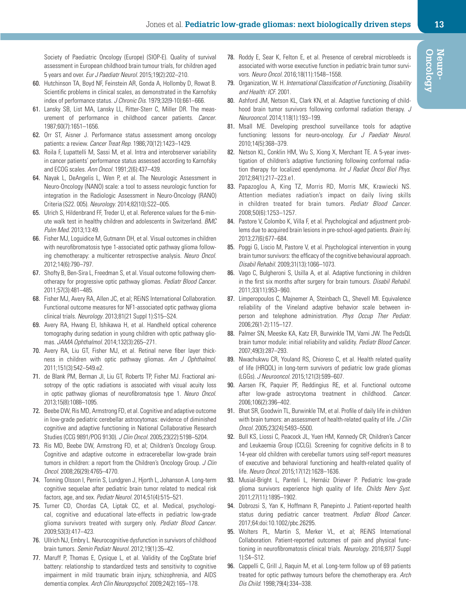Society of Paediatric Oncology (Europe) (SIOP-E). Quality of survival assessment in European childhood brain tumour trials, for children aged 5 years and over. *Eur J Paediatr Neurol*. 2015;19(2):202–210.

- <span id="page-12-0"></span>60. Hutchinson TA, Boyd NF, Feinstein AR, Gonda A, Hollomby D, Rowat B. Scientific problems in clinical scales, as demonstrated in the Karnofsky index of performance status. *J Chronic Dis*. 1979;32(9-10):661–666.
- 61. Lansky SB, List MA, Lansky LL, Ritter-Sterr C, Miller DR. The measurement of performance in childhood cancer patients. *Cancer*. 1987;60(7):1651–1656.
- 62. Orr ST, Aisner J. Performance status assessment among oncology patients: a review. *Cancer Treat Rep*. 1986;70(12):1423–1429.
- 63. Roila F, Lupattelli M, Sassi M, et al. Intra and interobserver variability in cancer patients' performance status assessed according to Karnofsky and ECOG scales. *Ann Oncol*. 1991;2(6):437–439.
- <span id="page-12-1"></span>64. Nayak L, DeAngelis L, Wen P, et al. The Neurologic Assessment in Neuro-Oncology (NANO) scale: a tool to assess neurologic function for integration in the Radiologic Assessment in Neuro-Oncology (RANO) Criteria (S22. 005). *Neurology*. 2014;82(10):S22–005.
- <span id="page-12-2"></span>65. Ulrich S, Hildenbrand FF, Treder U, et al. Reference values for the 6-minute walk test in healthy children and adolescents in Switzerland. *BMC Pulm Med*. 2013;13:49.
- <span id="page-12-3"></span>66. Fisher MJ, Loguidice M, Gutmann DH, et al. Visual outcomes in children with neurofibromatosis type 1-associated optic pathway glioma following chemotherapy: a multicenter retrospective analysis. *Neuro Oncol*. 2012;14(6):790–797.
- <span id="page-12-4"></span>67. Shofty B, Ben-Sira L, Freedman S, et al. Visual outcome following chemotherapy for progressive optic pathway gliomas. *Pediatr Blood Cancer*. 2011;57(3):481–485.
- <span id="page-12-5"></span>68. Fisher MJ, Avery RA, Allen JC, et al; REiNS International Collaboration. Functional outcome measures for NF1-associated optic pathway glioma clinical trials. *Neurology*. 2013;81(21 Suppl 1):S15–S24.
- <span id="page-12-6"></span>69. Avery RA, Hwang EI, Ishikawa H, et al. Handheld optical coherence tomography during sedation in young children with optic pathway gliomas. *JAMA Ophthalmol*. 2014;132(3):265–271.
- 70. Avery RA, Liu GT, Fisher MJ, et al. Retinal nerve fiber layer thickness in children with optic pathway gliomas. *Am J Ophthalmol*. 2011;151(3):542–549.e2.
- 71. de Blank PM, Berman JI, Liu GT, Roberts TP, Fisher MJ. Fractional anisotropy of the optic radiations is associated with visual acuity loss in optic pathway gliomas of neurofibromatosis type 1. *Neuro Oncol*. 2013;15(8):1088–1095.
- <span id="page-12-7"></span>72. Beebe DW, Ris MD, Armstrong FD, et al. Cognitive and adaptive outcome in low-grade pediatric cerebellar astrocytomas: evidence of diminished cognitive and adaptive functioning in National Collaborative Research Studies (CCG 9891/POG 9130). *J Clin Oncol*. 2005;23(22):5198–5204.
- 73. Ris MD, Beebe DW, Armstrong FD, et al; Children's Oncology Group. Cognitive and adaptive outcome in extracerebellar low-grade brain tumors in children: a report from the Children's Oncology Group. *J Clin Oncol*. 2008;26(29):4765–4770.
- 74. Tonning Olsson I, Perrin S, Lundgren J, Hjorth L, Johanson A. Long-term cognitive sequelae after pediatric brain tumor related to medical risk factors, age, and sex. *Pediatr Neurol*. 2014;51(4):515–521.
- 75. Turner CD, Chordas CA, Liptak CC, et al. Medical, psychological, cognitive and educational late-effects in pediatric low-grade glioma survivors treated with surgery only. *Pediatr Blood Cancer*. 2009;53(3):417–423.
- 76. Ullrich NJ, Embry L. Neurocognitive dysfunction in survivors of childhood brain tumors. *Semin Pediatr Neurol*. 2012;19(1):35–42.
- <span id="page-12-8"></span>77. Maruff P, Thomas E, Cysique L, et al. Validity of the CogState brief battery: relationship to standardized tests and sensitivity to cognitive impairment in mild traumatic brain injury, schizophrenia, and AIDS dementia complex. *Arch Clin Neuropsychol*. 2009;24(2):165–178.
- <span id="page-12-9"></span>78. Roddy E, Sear K, Felton E, et al. Presence of cerebral microbleeds is associated with worse executive function in pediatric brain tumor survivors. *Neuro Oncol*. 2016;18(11):1548–1558.
- <span id="page-12-10"></span>79. Organization, W. H. *International Classification of Functioning, Disability and Health: ICF*. 2001.
- <span id="page-12-11"></span>80. Ashford JM, Netson KL, Clark KN, et al. Adaptive functioning of childhood brain tumor survivors following conformal radiation therapy. *J Neurooncol*. 2014;118(1):193–199.
- 81. Msall ME. Developing preschool surveillance tools for adaptive functioning: lessons for neuro-oncology. *Eur J Paediatr Neurol*. 2010;14(5):368–379.
- 82. Netson KL, Conklin HM, Wu S, Xiong X, Merchant TE. A 5-year investigation of children's adaptive functioning following conformal radiation therapy for localized ependymoma. *Int J Radiat Oncol Biol Phys*. 2012;84(1):217–223.e1.
- 83. Papazoglou A, King TZ, Morris RD, Morris MK, Krawiecki NS. Attention mediates radiation's impact on daily living skills in children treated for brain tumors. *Pediatr Blood Cancer*. 2008;50(6):1253–1257.
- 84. Pastore V, Colombo K, Villa F, et al. Psychological and adjustment problems due to acquired brain lesions in pre-school-aged patients. *Brain Inj*. 2013;27(6):677–684.
- 85. Poggi G, Liscio M, Pastore V, et al. Psychological intervention in young brain tumor survivors: the efficacy of the cognitive behavioural approach. *Disabil Rehabil*. 2009;31(13):1066–1073.
- 86. Vago C, Bulgheroni S, Usilla A, et al. Adaptive functioning in children in the first six months after surgery for brain tumours. *Disabil Rehabil*. 2011;33(11):953–960.
- <span id="page-12-12"></span>87. Limperopoulos C, Majnemer A, Steinbach CL, Shevell MI. Equivalence reliability of the Vineland adaptive behavior scale between inperson and telephone administration. *Phys Occup Ther Pediatr*. 2006;26(1-2):115–127.
- <span id="page-12-13"></span>88. Palmer SN, Meeske KA, Katz ER, Burwinkle TM, Varni JW. The PedsQL brain tumor module: initial reliability and validity. *Pediatr Blood Cancer*. 2007;49(3):287–293.
- <span id="page-12-14"></span>89. Nwachukwu CR, Youland RS, Chioreso C, et al. Health related quality of life (HRQOL) in long-term survivors of pediatric low grade gliomas (LGGs). *J Neurooncol*. 2015;121(3):599–607.
- <span id="page-12-15"></span>90. Aarsen FK, Paquier PF, Reddingius RE, et al. Functional outcome after low-grade astrocytoma treatment in childhood. *Cancer*. 2006;106(2):396–402.
- 91. Bhat SR, Goodwin TL, Burwinkle TM, et al. Profile of daily life in children with brain tumors: an assessment of health-related quality of life. *J Clin Oncol*. 2005;23(24):5493–5500.
- 92. Bull KS, Liossi C, Peacock JL, Yuen HM, Kennedy CR; Children's Cancer and Leukaemia Group (CCLG). Screening for cognitive deficits in 8 to 14-year old children with cerebellar tumors using self-report measures of executive and behavioral functioning and health-related quality of life. *Neuro Oncol*. 2015;17(12):1628–1636.
- 93. Musial-Bright L, Panteli L, Hernáiz Driever P. Pediatric low-grade glioma survivors experience high quality of life. *Childs Nerv Syst*. 2011;27(11):1895–1902.
- <span id="page-12-16"></span>94. Dobrozsi S, Yan K, Hoffmann R, Panepinto J. Patient-reported health status during pediatric cancer treatment. *Pediatr Blood Cancer*. 2017;64:doi:10.1002/pbc.26295.
- <span id="page-12-17"></span>95. Wolters PL, Martin S, Merker VL, et al; REiNS International Collaboration. Patient-reported outcomes of pain and physical functioning in neurofibromatosis clinical trials. *Neurology*. 2016;87(7 Suppl 1):S4–S12.
- <span id="page-12-18"></span>96. Cappelli C, Grill J, Raquin M, et al. Long-term follow up of 69 patients treated for optic pathway tumours before the chemotherapy era. *Arch Dis Child*. 1998;79(4):334–338.